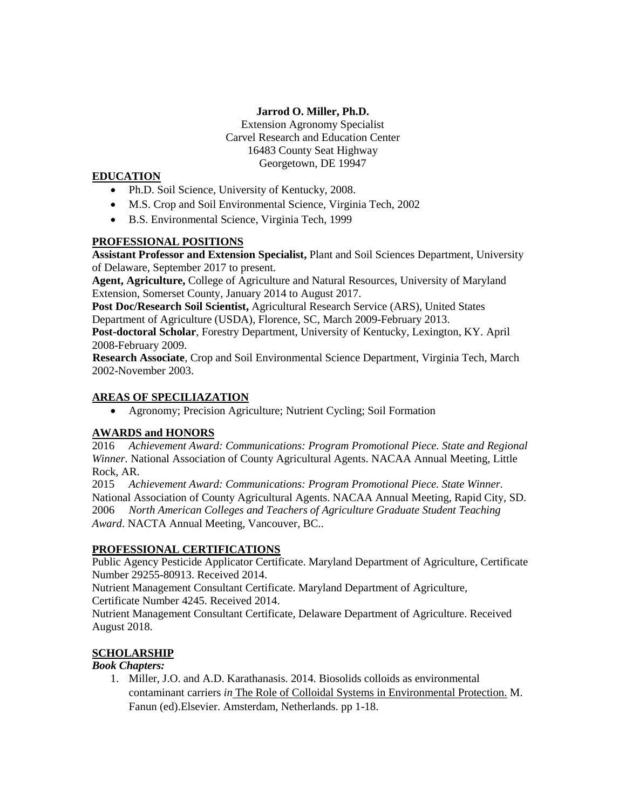### **Jarrod O. Miller, Ph.D.**

Extension Agronomy Specialist Carvel Research and Education Center 16483 County Seat Highway Georgetown, DE 19947

### **EDUCATION**

- Ph.D. Soil Science, University of Kentucky, 2008.
- M.S. Crop and Soil Environmental Science, Virginia Tech, 2002
- B.S. Environmental Science, Virginia Tech, 1999

# **PROFESSIONAL POSITIONS**

**Assistant Professor and Extension Specialist,** Plant and Soil Sciences Department, University of Delaware, September 2017 to present.

**Agent, Agriculture,** College of Agriculture and Natural Resources, University of Maryland Extension, Somerset County, January 2014 to August 2017.

**Post Doc/Research Soil Scientist,** Agricultural Research Service (ARS), United States Department of Agriculture (USDA), Florence, SC, March 2009-February 2013.

**Post-doctoral Scholar**, Forestry Department, University of Kentucky, Lexington, KY. April 2008-February 2009.

**Research Associate**, Crop and Soil Environmental Science Department, Virginia Tech, March 2002-November 2003.

## **AREAS OF SPECILIAZATION**

Agronomy; Precision Agriculture; Nutrient Cycling; Soil Formation

# **AWARDS and HONORS**

2016 *Achievement Award: Communications: Program Promotional Piece. State and Regional Winner.* National Association of County Agricultural Agents. NACAA Annual Meeting, Little Rock, AR.

2015 *Achievement Award: Communications: Program Promotional Piece. State Winner.* National Association of County Agricultural Agents. NACAA Annual Meeting, Rapid City, SD. 2006 *North American Colleges and Teachers of Agriculture Graduate Student Teaching Award*. NACTA Annual Meeting, Vancouver, BC..

## **PROFESSIONAL CERTIFICATIONS**

Public Agency Pesticide Applicator Certificate. Maryland Department of Agriculture, Certificate Number 29255-80913. Received 2014.

Nutrient Management Consultant Certificate. Maryland Department of Agriculture, Certificate Number 4245. Received 2014.

Nutrient Management Consultant Certificate, Delaware Department of Agriculture. Received August 2018.

# **SCHOLARSHIP**

## *Book Chapters:*

1. Miller, J.O. and A.D. Karathanasis. 2014. Biosolids colloids as environmental contaminant carriers *in* The Role of Colloidal Systems in Environmental Protection. M. Fanun (ed).Elsevier. Amsterdam, Netherlands. pp 1-18.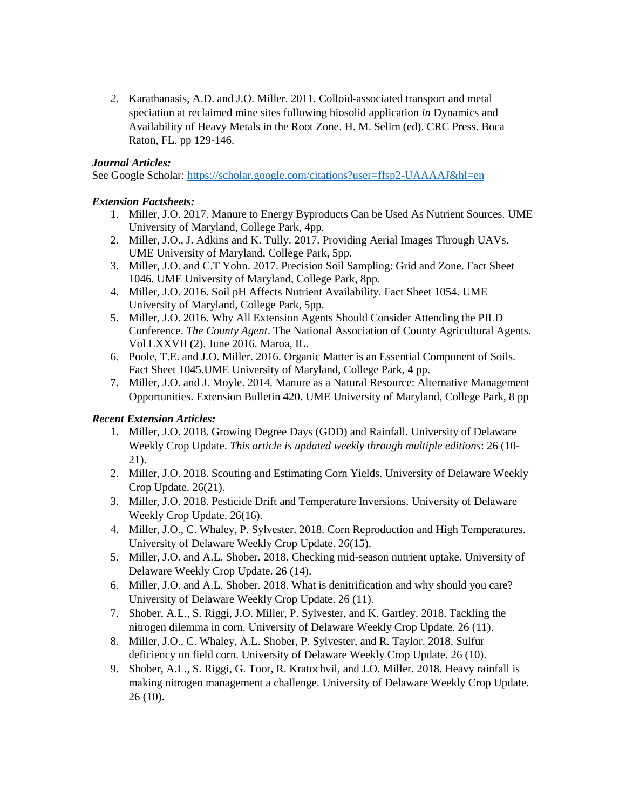*2.* Karathanasis, A.D. and J.O. Miller. 2011. Colloid-associated transport and metal speciation at reclaimed mine sites following biosolid application *in* Dynamics and Availability of Heavy Metals in the Root Zone. H. M. Selim (ed). CRC Press. Boca Raton, FL. pp 129-146.

### *Journal Articles:*

See Google Scholar:<https://scholar.google.com/citations?user=ffsp2-UAAAAJ&hl=en>

### *Extension Factsheets:*

- 1. Miller, J.O. 2017. Manure to Energy Byproducts Can be Used As Nutrient Sources. UME University of Maryland, College Park, 4pp.
- 2. Miller, J.O., J. Adkins and K. Tully. 2017. Providing Aerial Images Through UAVs. UME University of Maryland, College Park, 5pp.
- 3. Miller, J.O. and C.T Yohn. 2017. Precision Soil Sampling: Grid and Zone. Fact Sheet 1046. UME University of Maryland, College Park, 8pp.
- 4. Miller, J.O. 2016. Soil pH Affects Nutrient Availability. Fact Sheet 1054. UME University of Maryland, College Park, 5pp.
- 5. Miller, J.O. 2016. Why All Extension Agents Should Consider Attending the PILD Conference. *The County Agent*. The National Association of County Agricultural Agents. Vol LXXVII (2). June 2016. Maroa, IL.
- 6. Poole, T.E. and J.O. Miller. 2016. Organic Matter is an Essential Component of Soils. Fact Sheet 1045.UME University of Maryland, College Park, 4 pp.
- 7. Miller, J.O. and J. Moyle. 2014. Manure as a Natural Resource: Alternative Management Opportunities. Extension Bulletin 420. UME University of Maryland, College Park, 8 pp

## *Recent Extension Articles:*

- 1. Miller, J.O. 2018. Growing Degree Days (GDD) and Rainfall. University of Delaware Weekly Crop Update. *This article is updated weekly through multiple editions*: 26 (10- 21).
- 2. Miller, J.O. 2018. Scouting and Estimating Corn Yields. University of Delaware Weekly Crop Update. 26(21).
- 3. Miller, J.O. 2018. Pesticide Drift and Temperature Inversions. University of Delaware Weekly Crop Update. 26(16).
- 4. Miller, J.O., C. Whaley, P. Sylvester. 2018. Corn Reproduction and High Temperatures. University of Delaware Weekly Crop Update. 26(15).
- 5. Miller, J.O. and A.L. Shober. 2018. Checking mid-season nutrient uptake. University of Delaware Weekly Crop Update. 26 (14).
- 6. Miller, J.O. and A.L. Shober. 2018. What is denitrification and why should you care? University of Delaware Weekly Crop Update. 26 (11).
- 7. Shober, A.L., S. Riggi, J.O. Miller, P. Sylvester, and K. Gartley. 2018. Tackling the nitrogen dilemma in corn. University of Delaware Weekly Crop Update. 26 (11).
- 8. Miller, J.O., C. Whaley, A.L. Shober, P. Sylvester, and R. Taylor. 2018. Sulfur deficiency on field corn. University of Delaware Weekly Crop Update. 26 (10).
- 9. Shober, A.L., S. Riggi, G. Toor, R. Kratochvil, and J.O. Miller. 2018. Heavy rainfall is making nitrogen management a challenge. University of Delaware Weekly Crop Update. 26 (10).